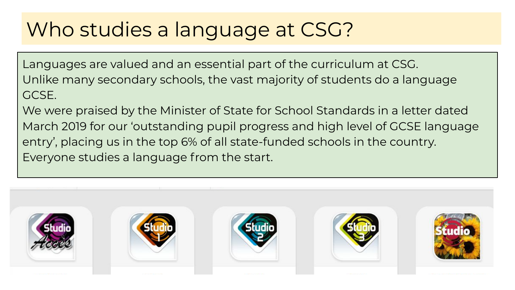## Who studies a language at CSG?

Languages are valued and an essential part of the curriculum at CSG. Unlike many secondary schools, the vast majority of students do a language GCSE.

We were praised by the Minister of State for School Standards in a letter dated March 2019 for our 'outstanding pupil progress and high level of GCSE language entry', placing us in the top 6% of all state-funded schools in the country. Everyone studies a language from the start.

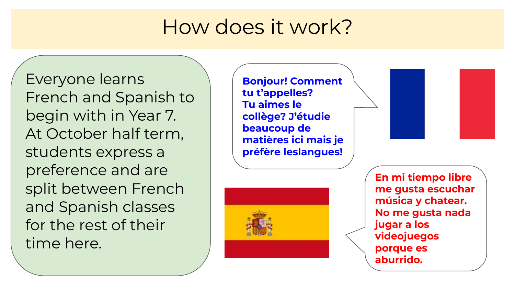## How does it work?

Everyone learns French and Spanish to begin with in Year 7. At October half term, students express a preference and are split between French and Spanish classes for the rest of their time here.

**Bonjour! Comment tu t'appelles? Tu aimes le collège? J'étudie beaucoup de matières ici mais je préfère leslangues!**



**En mi tiempo libre me gusta escuchar música y chatear. No me gusta nada jugar a los videojuegos porque es aburrido.**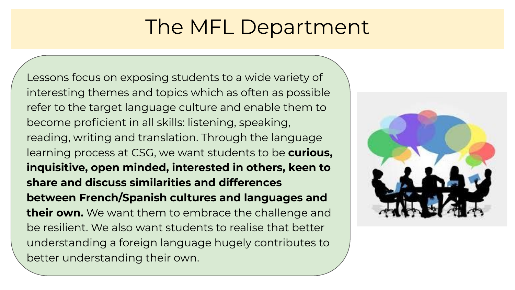## The MFL Department

Lessons focus on exposing students to a wide variety of interesting themes and topics which as often as possible refer to the target language culture and enable them to become proficient in all skills: listening, speaking, reading, writing and translation. Through the language learning process at CSG, we want students to be **curious, inquisitive, open minded, interested in others, keen to share and discuss similarities and differences between French/Spanish cultures and languages and their own.** We want them to embrace the challenge and be resilient. We also want students to realise that better understanding a foreign language hugely contributes to better understanding their own.